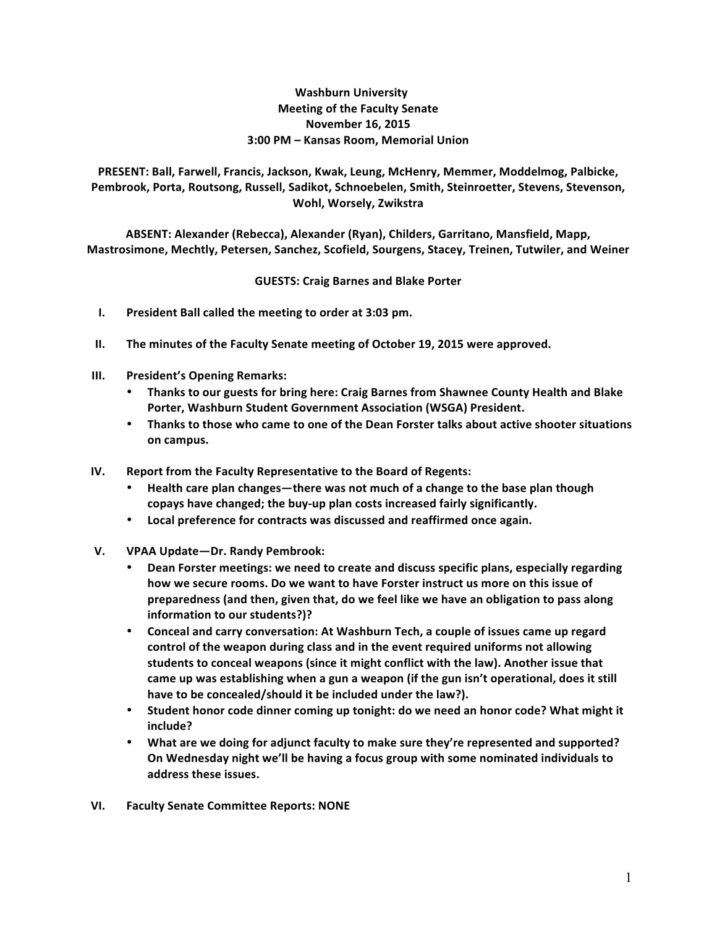## **Washburn University Meeting of the Faculty Senate November 16, 2015 3:00 PM – Kansas Room, Memorial Union**

PRESENT: Ball, Farwell, Francis, Jackson, Kwak, Leung, McHenry, Memmer, Moddelmog, Palbicke, Pembrook, Porta, Routsong, Russell, Sadikot, Schnoebelen, Smith, Steinroetter, Stevens, Stevenson, **Wohl, Worsely, Zwikstra**

ABSENT: Alexander (Rebecca), Alexander (Ryan), Childers, Garritano, Mansfield, Mapp, **Mastrosimone, Mechtly, Petersen, Sanchez, Scofield, Sourgens, Stacey, Treinen, Tutwiler, and Weiner**

## **GUESTS: Craig Barnes and Blake Porter**

- **I.** President Ball called the meeting to order at 3:03 pm.
- **II.** The minutes of the Faculty Senate meeting of October 19, 2015 were approved.
- **III.** President's Opening Remarks:
	- **Thanks to our guests for bring here: Craig Barnes from Shawnee County Health and Blake Porter, Washburn Student Government Association (WSGA) President.**
	- Thanks to those who came to one of the Dean Forster talks about active shooter situations **on campus.**
- **IV.** Report from the Faculty Representative to the Board of Regents:
	- Health care plan changes—there was not much of a change to the base plan though copays have changed; the buy-up plan costs increased fairly significantly.
	- **Local preference for contracts was discussed and reaffirmed once again.**
- **V. VPAA Update—Dr. Randy Pembrook:**
	- **Dean Forster meetings: we need to create and discuss specific plans, especially regarding** how we secure rooms. Do we want to have Forster instruct us more on this issue of preparedness (and then, given that, do we feel like we have an obligation to pass along **information to our students?)?**
	- Conceal and carry conversation: At Washburn Tech, a couple of issues came up regard control of the weapon during class and in the event required uniforms not allowing students to conceal weapons (since it might conflict with the law). Another issue that came up was establishing when a gun a weapon (if the gun isn't operational, does it still have to be concealed/should it be included under the law?).
	- Student honor code dinner coming up tonight: do we need an honor code? What might it **include?**
	- What are we doing for adjunct faculty to make sure they're represented and supported? On Wednesday night we'll be having a focus group with some nominated individuals to address these issues.
- **VI. Faculty Senate Committee Reports: NONE**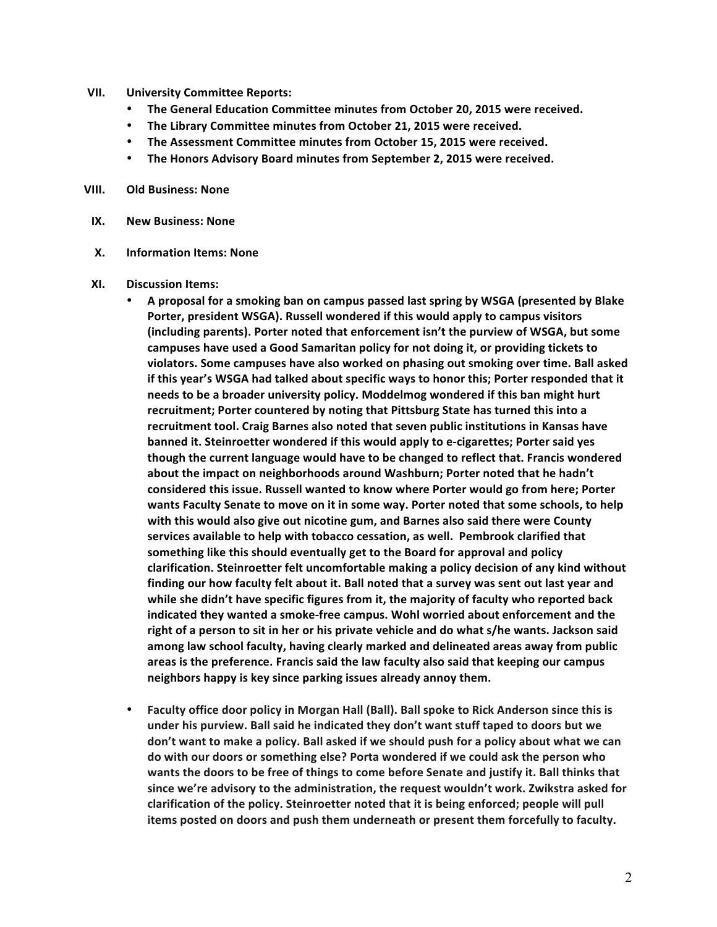- **VII. University Committee Reports:**
	- **The General Education Committee minutes from October 20, 2015 were received.**
	- The Library Committee minutes from October 21, 2015 were received.
	- The Assessment Committee minutes from October 15, 2015 were received.
	- **The Honors Advisory Board minutes from September 2, 2015 were received.**

## **VIII. Old Business: None**

- **IX. New Business: None**
- **X. Information Items: None**
- **XI. Discussion Items:**
	- A proposal for a smoking ban on campus passed last spring by WSGA (presented by Blake **Porter, president WSGA). Russell wondered if this would apply to campus visitors** (including parents). Porter noted that enforcement isn't the purview of WSGA, but some campuses have used a Good Samaritan policy for not doing it, or providing tickets to violators. Some campuses have also worked on phasing out smoking over time. Ball asked if this year's WSGA had talked about specific ways to honor this; Porter responded that it needs to be a broader university policy. Moddelmog wondered if this ban might hurt recruitment; Porter countered by noting that Pittsburg State has turned this into a recruitment tool. Craig Barnes also noted that seven public institutions in Kansas have **banned it. Steinroetter wondered if this would apply to e-cigarettes; Porter said yes** though the current language would have to be changed to reflect that. Francis wondered about the impact on neighborhoods around Washburn; Porter noted that he hadn't considered this issue. Russell wanted to know where Porter would go from here; Porter wants Faculty Senate to move on it in some way. Porter noted that some schools, to help with this would also give out nicotine gum, and Barnes also said there were County services available to help with tobacco cessation, as well. Pembrook clarified that something like this should eventually get to the Board for approval and policy clarification. Steinroetter felt uncomfortable making a policy decision of any kind without finding our how faculty felt about it. Ball noted that a survey was sent out last year and while she didn't have specific figures from it, the majority of faculty who reported back indicated they wanted a smoke-free campus. Wohl worried about enforcement and the right of a person to sit in her or his private vehicle and do what s/he wants. Jackson said among law school faculty, having clearly marked and delineated areas away from public areas is the preference. Francis said the law faculty also said that keeping our campus neighbors happy is key since parking issues already annoy them.
	- Faculty office door policy in Morgan Hall (Ball). Ball spoke to Rick Anderson since this is under his purview. Ball said he indicated they don't want stuff taped to doors but we don't want to make a policy. Ball asked if we should push for a policy about what we can do with our doors or something else? Porta wondered if we could ask the person who wants the doors to be free of things to come before Senate and justify it. Ball thinks that since we're advisory to the administration, the request wouldn't work. Zwikstra asked for clarification of the policy. Steinroetter noted that it is being enforced; people will pull items posted on doors and push them underneath or present them forcefully to faculty.